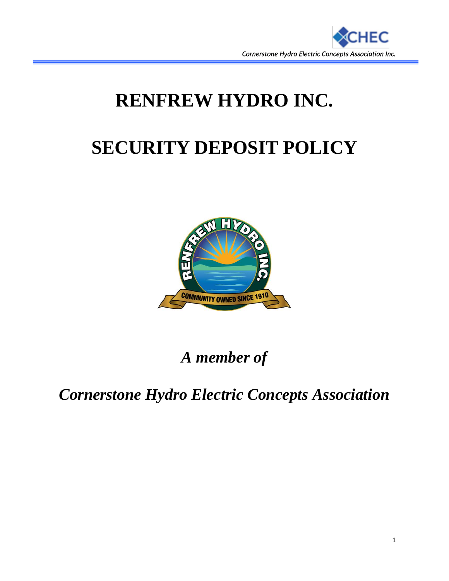

# **RENFREW HYDRO INC.**

# **SECURITY DEPOSIT POLICY**



*A member of*

*Cornerstone Hydro Electric Concepts Association*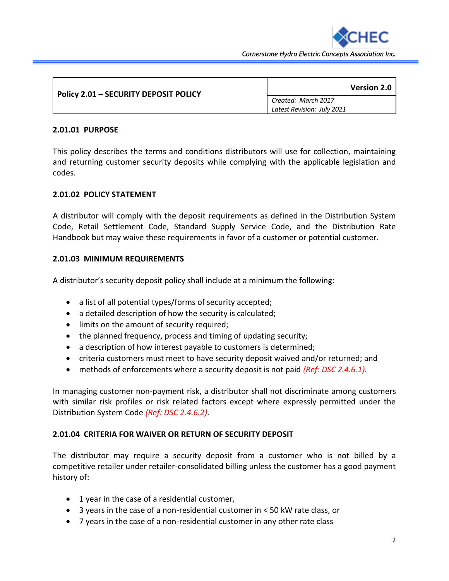

*Cornerstone Hydro Electric Concepts Association Inc.* 

| <b>Policy 2.01 - SECURITY DEPOSIT POLICY</b> | <b>Version 2.0</b>         |
|----------------------------------------------|----------------------------|
|                                              | Created: March 2017        |
|                                              | Latest Revision: July 2021 |

#### **2.01.01 PURPOSE**

This policy describes the terms and conditions distributors will use for collection, maintaining and returning customer security deposits while complying with the applicable legislation and codes.

#### **2.01.02 POLICY STATEMENT**

A distributor will comply with the deposit requirements as defined in the Distribution System Code, Retail Settlement Code, Standard Supply Service Code, and the Distribution Rate Handbook but may waive these requirements in favor of a customer or potential customer.

#### **2.01.03 MINIMUM REQUIREMENTS**

A distributor's security deposit policy shall include at a minimum the following:

- a list of all potential types/forms of security accepted;
- a detailed description of how the security is calculated;
- limits on the amount of security required;
- the planned frequency, process and timing of updating security;
- a description of how interest payable to customers is determined;
- criteria customers must meet to have security deposit waived and/or returned; and
- methods of enforcements where a security deposit is not paid *(Ref: DSC 2.4.6.1)*.

In managing customer non-payment risk, a distributor shall not discriminate among customers with similar risk profiles or risk related factors except where expressly permitted under the Distribution System Code *(Ref: DSC 2.4.6.2)*.

#### **2.01.04 CRITERIA FOR WAIVER OR RETURN OF SECURITY DEPOSIT**

The distributor may require a security deposit from a customer who is not billed by a competitive retailer under retailer-consolidated billing unless the customer has a good payment history of:

- 1 year in the case of a residential customer,
- 3 years in the case of a non-residential customer in < 50 kW rate class, or
- 7 years in the case of a non-residential customer in any other rate class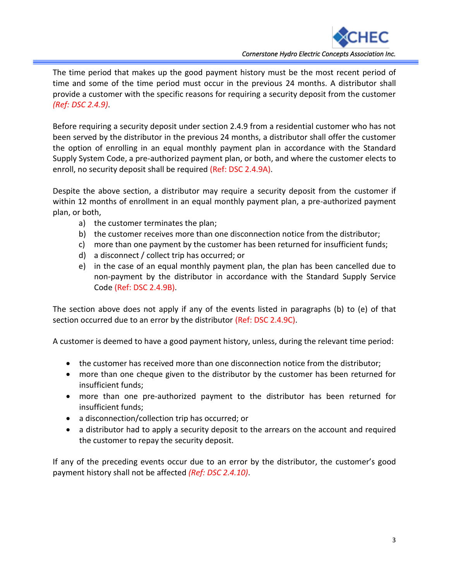

The time period that makes up the good payment history must be the most recent period of time and some of the time period must occur in the previous 24 months. A distributor shall provide a customer with the specific reasons for requiring a security deposit from the customer *(Ref: DSC 2.4.9)*.

Before requiring a security deposit under section 2.4.9 from a residential customer who has not been served by the distributor in the previous 24 months, a distributor shall offer the customer the option of enrolling in an equal monthly payment plan in accordance with the Standard Supply System Code, a pre-authorized payment plan, or both, and where the customer elects to enroll, no security deposit shall be required (Ref: DSC 2.4.9A).

Despite the above section, a distributor may require a security deposit from the customer if within 12 months of enrollment in an equal monthly payment plan, a pre-authorized payment plan, or both,

- a) the customer terminates the plan;
- b) the customer receives more than one disconnection notice from the distributor;
- c) more than one payment by the customer has been returned for insufficient funds;
- d) a disconnect / collect trip has occurred; or
- e) in the case of an equal monthly payment plan, the plan has been cancelled due to non-payment by the distributor in accordance with the Standard Supply Service Code (Ref: DSC 2.4.9B).

The section above does not apply if any of the events listed in paragraphs (b) to (e) of that section occurred due to an error by the distributor (Ref: DSC 2.4.9C).

A customer is deemed to have a good payment history, unless, during the relevant time period:

- the customer has received more than one disconnection notice from the distributor;
- more than one cheque given to the distributor by the customer has been returned for insufficient funds;
- more than one pre-authorized payment to the distributor has been returned for insufficient funds;
- a disconnection/collection trip has occurred; or
- a distributor had to apply a security deposit to the arrears on the account and required the customer to repay the security deposit.

If any of the preceding events occur due to an error by the distributor, the customer's good payment history shall not be affected *(Ref: DSC 2.4.10)*.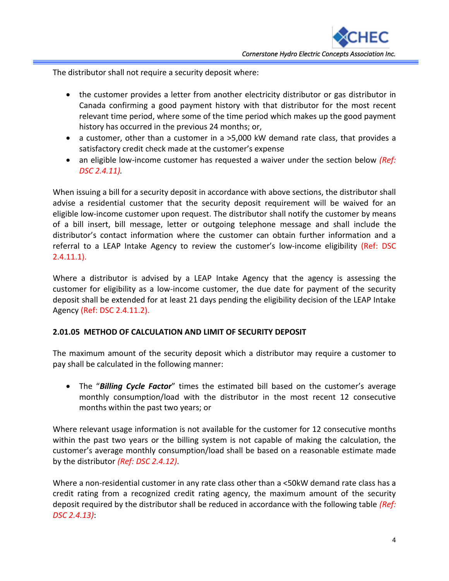The distributor shall not require a security deposit where:

- the customer provides a letter from another electricity distributor or gas distributor in Canada confirming a good payment history with that distributor for the most recent relevant time period, where some of the time period which makes up the good payment history has occurred in the previous 24 months; or,
- a customer, other than a customer in a >5,000 kW demand rate class, that provides a satisfactory credit check made at the customer's expense
- an eligible low-income customer has requested a waiver under the section below *(Ref: DSC 2.4.11).*

When issuing a bill for a security deposit in accordance with above sections, the distributor shall advise a residential customer that the security deposit requirement will be waived for an eligible low-income customer upon request. The distributor shall notify the customer by means of a bill insert, bill message, letter or outgoing telephone message and shall include the distributor's contact information where the customer can obtain further information and a referral to a LEAP Intake Agency to review the customer's low-income eligibility (Ref: DSC 2.4.11.1).

Where a distributor is advised by a LEAP Intake Agency that the agency is assessing the customer for eligibility as a low-income customer, the due date for payment of the security deposit shall be extended for at least 21 days pending the eligibility decision of the LEAP Intake Agency (Ref: DSC 2.4.11.2).

## **2.01.05 METHOD OF CALCULATION AND LIMIT OF SECURITY DEPOSIT**

The maximum amount of the security deposit which a distributor may require a customer to pay shall be calculated in the following manner:

• The "*Billing Cycle Factor*" times the estimated bill based on the customer's average monthly consumption/load with the distributor in the most recent 12 consecutive months within the past two years; or

Where relevant usage information is not available for the customer for 12 consecutive months within the past two years or the billing system is not capable of making the calculation, the customer's average monthly consumption/load shall be based on a reasonable estimate made by the distributor *(Ref: DSC 2.4.12)*.

Where a non-residential customer in any rate class other than a <50kW demand rate class has a credit rating from a recognized credit rating agency, the maximum amount of the security deposit required by the distributor shall be reduced in accordance with the following table *(Ref: DSC 2.4.13)*: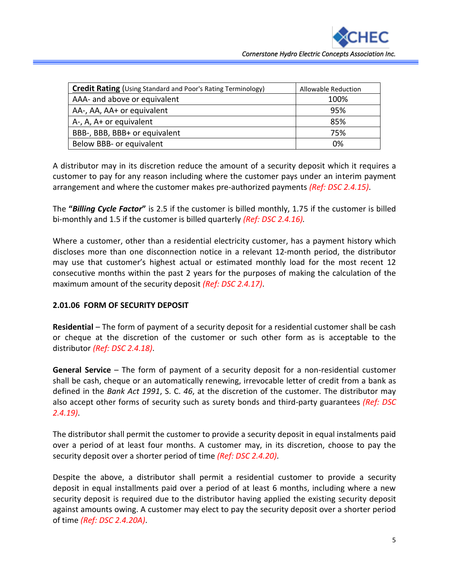| <b>Credit Rating</b> (Using Standard and Poor's Rating Terminology) | Allowable Reduction |
|---------------------------------------------------------------------|---------------------|
| AAA- and above or equivalent                                        | 100%                |
| AA-, AA, AA+ or equivalent                                          | 95%                 |
| A-, A, A+ or equivalent                                             | 85%                 |
| BBB-, BBB, BBB+ or equivalent                                       | 75%                 |
| Below BBB- or equivalent                                            | 0%                  |

A distributor may in its discretion reduce the amount of a security deposit which it requires a customer to pay for any reason including where the customer pays under an interim payment arrangement and where the customer makes pre-authorized payments *(Ref: DSC 2.4.15)*.

The **"***Billing Cycle Factor***"** is 2.5 if the customer is billed monthly, 1.75 if the customer is billed bi-monthly and 1.5 if the customer is billed quarterly *(Ref: DSC 2.4.16).*

Where a customer, other than a residential electricity customer, has a payment history which discloses more than one disconnection notice in a relevant 12-month period, the distributor may use that customer's highest actual or estimated monthly load for the most recent 12 consecutive months within the past 2 years for the purposes of making the calculation of the maximum amount of the security deposit *(Ref: DSC 2.4.17)*.

## **2.01.06 FORM OF SECURITY DEPOSIT**

**Residential** – The form of payment of a security deposit for a residential customer shall be cash or cheque at the discretion of the customer or such other form as is acceptable to the distributor *(Ref: DSC 2.4.18)*.

**General Service** – The form of payment of a security deposit for a non-residential customer shall be cash, cheque or an automatically renewing, irrevocable letter of credit from a bank as defined in the *Bank Act 1991*, S. C. *46*, at the discretion of the customer. The distributor may also accept other forms of security such as surety bonds and third-party guarantees *(Ref: DSC 2.4.19)*.

The distributor shall permit the customer to provide a security deposit in equal instalments paid over a period of at least four months. A customer may, in its discretion, choose to pay the security deposit over a shorter period of time *(Ref: DSC 2.4.20)*.

Despite the above, a distributor shall permit a residential customer to provide a security deposit in equal installments paid over a period of at least 6 months, including where a new security deposit is required due to the distributor having applied the existing security deposit against amounts owing. A customer may elect to pay the security deposit over a shorter period of time *(Ref: DSC 2.4.20A)*.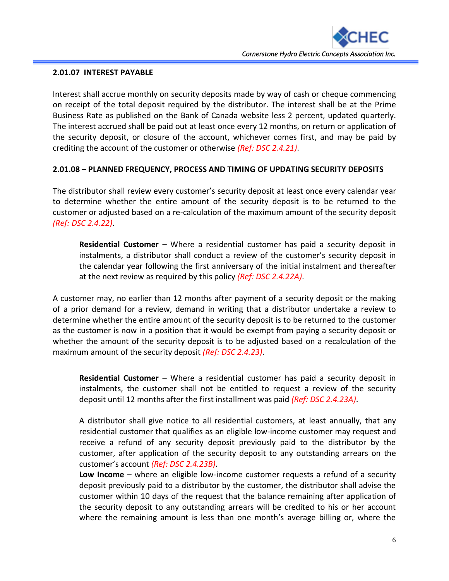

### **2.01.07 INTEREST PAYABLE**

Interest shall accrue monthly on security deposits made by way of cash or cheque commencing on receipt of the total deposit required by the distributor. The interest shall be at the Prime Business Rate as published on the Bank of Canada website less 2 percent, updated quarterly. The interest accrued shall be paid out at least once every 12 months, on return or application of the security deposit, or closure of the account, whichever comes first, and may be paid by crediting the account of the customer or otherwise *(Ref: DSC 2.4.21)*.

## **2.01.08 – PLANNED FREQUENCY, PROCESS AND TIMING OF UPDATING SECURITY DEPOSITS**

The distributor shall review every customer's security deposit at least once every calendar year to determine whether the entire amount of the security deposit is to be returned to the customer or adjusted based on a re-calculation of the maximum amount of the security deposit *(Ref: DSC 2.4.22)*.

**Residential Customer** – Where a residential customer has paid a security deposit in instalments, a distributor shall conduct a review of the customer's security deposit in the calendar year following the first anniversary of the initial instalment and thereafter at the next review as required by this policy *(Ref: DSC 2.4.22A)*.

A customer may, no earlier than 12 months after payment of a security deposit or the making of a prior demand for a review, demand in writing that a distributor undertake a review to determine whether the entire amount of the security deposit is to be returned to the customer as the customer is now in a position that it would be exempt from paying a security deposit or whether the amount of the security deposit is to be adjusted based on a recalculation of the maximum amount of the security deposit *(Ref: DSC 2.4.23)*.

**Residential Customer** – Where a residential customer has paid a security deposit in instalments, the customer shall not be entitled to request a review of the security deposit until 12 months after the first installment was paid *(Ref: DSC 2.4.23A)*.

A distributor shall give notice to all residential customers, at least annually, that any residential customer that qualifies as an eligible low-income customer may request and receive a refund of any security deposit previously paid to the distributor by the customer, after application of the security deposit to any outstanding arrears on the customer's account *(Ref: DSC 2.4.23B)*.

**Low Income** – where an eligible low-income customer requests a refund of a security deposit previously paid to a distributor by the customer, the distributor shall advise the customer within 10 days of the request that the balance remaining after application of the security deposit to any outstanding arrears will be credited to his or her account where the remaining amount is less than one month's average billing or, where the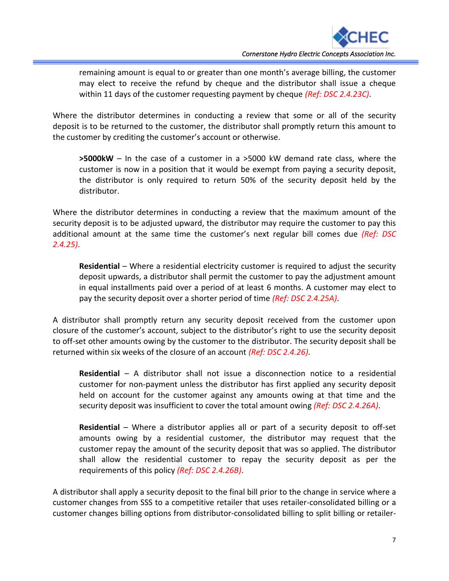

remaining amount is equal to or greater than one month's average billing, the customer may elect to receive the refund by cheque and the distributor shall issue a cheque within 11 days of the customer requesting payment by cheque *(Ref: DSC 2.4.23C)*.

Where the distributor determines in conducting a review that some or all of the security deposit is to be returned to the customer, the distributor shall promptly return this amount to the customer by crediting the customer's account or otherwise.

**>5000kW** – In the case of a customer in a >5000 kW demand rate class, where the customer is now in a position that it would be exempt from paying a security deposit, the distributor is only required to return 50% of the security deposit held by the distributor.

Where the distributor determines in conducting a review that the maximum amount of the security deposit is to be adjusted upward, the distributor may require the customer to pay this additional amount at the same time the customer's next regular bill comes due *(Ref: DSC 2.4.25)*.

**Residential** – Where a residential electricity customer is required to adjust the security deposit upwards, a distributor shall permit the customer to pay the adjustment amount in equal installments paid over a period of at least 6 months. A customer may elect to pay the security deposit over a shorter period of time *(Ref: DSC 2.4.25A)*.

A distributor shall promptly return any security deposit received from the customer upon closure of the customer's account, subject to the distributor's right to use the security deposit to off-set other amounts owing by the customer to the distributor. The security deposit shall be returned within six weeks of the closure of an account *(Ref: DSC 2.4.26)*.

**Residential** – A distributor shall not issue a disconnection notice to a residential customer for non-payment unless the distributor has first applied any security deposit held on account for the customer against any amounts owing at that time and the security deposit was insufficient to cover the total amount owing *(Ref: DSC 2.4.26A)*.

**Residential** – Where a distributor applies all or part of a security deposit to off-set amounts owing by a residential customer, the distributor may request that the customer repay the amount of the security deposit that was so applied. The distributor shall allow the residential customer to repay the security deposit as per the requirements of this policy *(Ref: DSC 2.4.26B)*.

A distributor shall apply a security deposit to the final bill prior to the change in service where a customer changes from SSS to a competitive retailer that uses retailer-consolidated billing or a customer changes billing options from distributor-consolidated billing to split billing or retailer-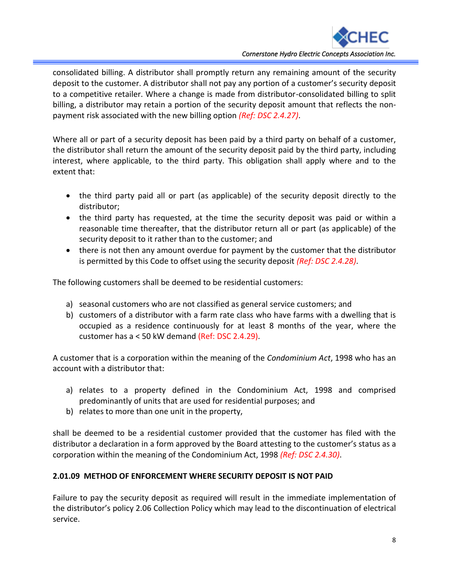

consolidated billing. A distributor shall promptly return any remaining amount of the security deposit to the customer. A distributor shall not pay any portion of a customer's security deposit to a competitive retailer. Where a change is made from distributor-consolidated billing to split billing, a distributor may retain a portion of the security deposit amount that reflects the nonpayment risk associated with the new billing option *(Ref: DSC 2.4.27)*.

Where all or part of a security deposit has been paid by a third party on behalf of a customer, the distributor shall return the amount of the security deposit paid by the third party, including interest, where applicable, to the third party. This obligation shall apply where and to the extent that:

- the third party paid all or part (as applicable) of the security deposit directly to the distributor;
- the third party has requested, at the time the security deposit was paid or within a reasonable time thereafter, that the distributor return all or part (as applicable) of the security deposit to it rather than to the customer; and
- there is not then any amount overdue for payment by the customer that the distributor is permitted by this Code to offset using the security deposit *(Ref: DSC 2.4.28)*.

The following customers shall be deemed to be residential customers:

- a) seasonal customers who are not classified as general service customers; and
- b) customers of a distributor with a farm rate class who have farms with a dwelling that is occupied as a residence continuously for at least 8 months of the year, where the customer has a < 50 kW demand (Ref: DSC 2.4.29).

A customer that is a corporation within the meaning of the *Condominium Act*, 1998 who has an account with a distributor that:

- a) relates to a property defined in the Condominium Act, 1998 and comprised predominantly of units that are used for residential purposes; and
- b) relates to more than one unit in the property,

shall be deemed to be a residential customer provided that the customer has filed with the distributor a declaration in a form approved by the Board attesting to the customer's status as a corporation within the meaning of the Condominium Act, 1998 *(Ref: DSC 2.4.30)*.

## **2.01.09 METHOD OF ENFORCEMENT WHERE SECURITY DEPOSIT IS NOT PAID**

Failure to pay the security deposit as required will result in the immediate implementation of the distributor's policy 2.06 Collection Policy which may lead to the discontinuation of electrical service.